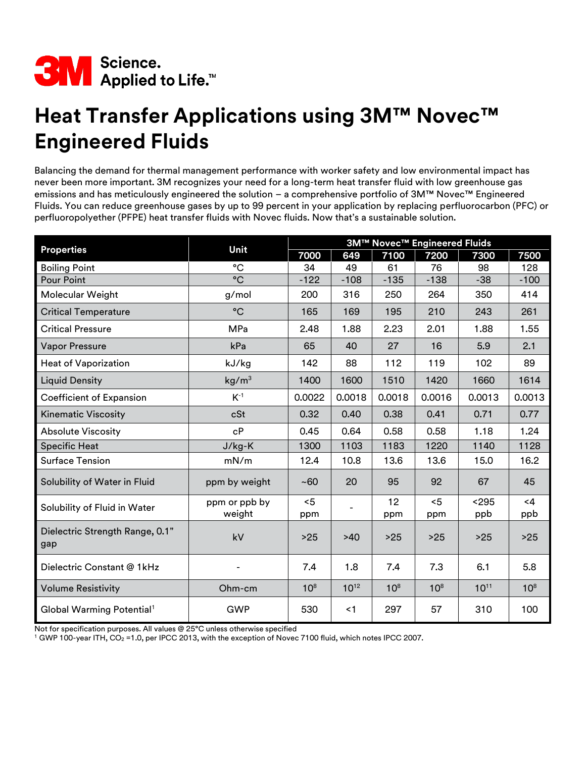

## **Heat Transfer Applications using 3M™ Novec™ Engineered Fluids**

Balancing the demand for thermal management performance with worker safety and low environmental impact has never been more important. 3M recognizes your need for a long-term heat transfer fluid with low greenhouse gas emissions and has meticulously engineered the solution – a comprehensive portfolio of 3M™ Novec™ Engineered Fluids. You can reduce greenhouse gases by up to 99 percent in your application by replacing perfluorocarbon (PFC) or perfluoropolyether (PFPE) heat transfer fluids with Novec fluids. Now that's a sustainable solution.

| <b>Properties</b>                      | Unit                    | 3M™ Novec™ Engineered Fluids |           |                 |                 |              |                 |
|----------------------------------------|-------------------------|------------------------------|-----------|-----------------|-----------------|--------------|-----------------|
|                                        |                         | 7000                         | 649       | 7100            | 7200            | 7300         | 7500            |
| <b>Boiling Point</b>                   | $^{\circ}C$             | 34                           | 49        | 61              | 76              | 98           | 128             |
| <b>Pour Point</b>                      | $\rm ^{\circ}C$         | $-122$                       | $-108$    | $-135$          | $-138$          | $-38$        | $-100$          |
| Molecular Weight                       | g/mol                   | 200                          | 316       | 250             | 264             | 350          | 414             |
| <b>Critical Temperature</b>            | $^{\circ}C$             | 165                          | 169       | 195             | 210             | 243          | 261             |
| <b>Critical Pressure</b>               | <b>MPa</b>              | 2.48                         | 1.88      | 2.23            | 2.01            | 1.88         | 1.55            |
| <b>Vapor Pressure</b>                  | kPa                     | 65                           | 40        | 27              | 16              | 5.9          | 2.1             |
| <b>Heat of Vaporization</b>            | kJ/kg                   | 142                          | 88        | 112             | 119             | 102          | 89              |
| <b>Liquid Density</b>                  | kg/m <sup>3</sup>       | 1400                         | 1600      | 1510            | 1420            | 1660         | 1614            |
| Coefficient of Expansion               | $K-1$                   | 0.0022                       | 0.0018    | 0.0018          | 0.0016          | 0.0013       | 0.0013          |
| <b>Kinematic Viscosity</b>             | cSt                     | 0.32                         | 0.40      | 0.38            | 0.41            | 0.71         | 0.77            |
| <b>Absolute Viscosity</b>              | cP                      | 0.45                         | 0.64      | 0.58            | 0.58            | 1.18         | 1.24            |
| <b>Specific Heat</b>                   | $J/kg-K$                | 1300                         | 1103      | 1183            | 1220            | 1140         | 1128            |
| Surface Tension                        | mN/m                    | 12.4                         | 10.8      | 13.6            | 13.6            | 15.0         | 16.2            |
| Solubility of Water in Fluid           | ppm by weight           | ~100                         | 20        | 95              | 92              | 67           | 45              |
| Solubility of Fluid in Water           | ppm or ppb by<br>weight | < 5<br>ppm                   |           | 12<br>ppm       | $5$<br>ppm      | < 295<br>ppb | $<$ 4<br>ppb    |
| Dielectric Strength Range, 0.1"<br>gap | kV                      | $>25$                        | >40       | >25             | $>25$           | >25          | $>25$           |
| Dielectric Constant @ 1kHz             |                         | 7.4                          | 1.8       | 7.4             | 7.3             | 6.1          | 5.8             |
| <b>Volume Resistivity</b>              | Ohm-cm                  | 10 <sup>8</sup>              | $10^{12}$ | 10 <sup>8</sup> | 10 <sup>8</sup> | $10^{11}$    | 10 <sup>8</sup> |
| Global Warming Potential <sup>1</sup>  | <b>GWP</b>              | 530                          | < 1       | 297             | 57              | 310          | 100             |

Not for specification purposes. All values @ 25°C unless otherwise specified

 $1$  GWP 100-year ITH, CO<sub>2</sub> = 1.0, per IPCC 2013, with the exception of Novec 7100 fluid, which notes IPCC 2007.